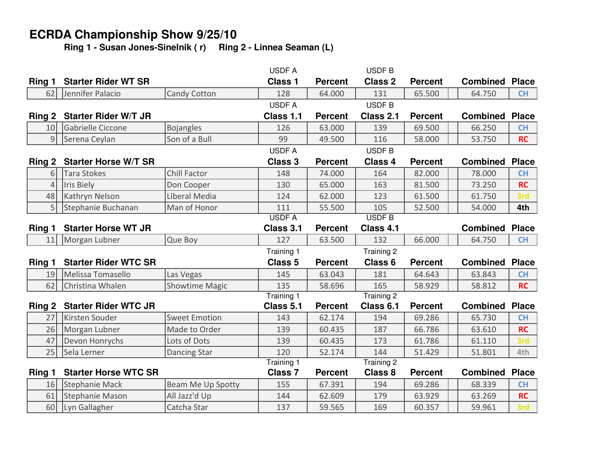## **ECRDA Championship Show 9/25/10**

**Ring 1 - Susan Jones-Sinelnik ( r) Ring 2 - Linnea Seaman (L)**

|                |                                  |                              | <b>USDFA</b>       |                  | USDF B             |                  |                       |                  |
|----------------|----------------------------------|------------------------------|--------------------|------------------|--------------------|------------------|-----------------------|------------------|
| Ring 1         | <b>Starter Rider WT SR</b>       |                              | <b>Class 1</b>     | <b>Percent</b>   | <b>Class 2</b>     | <b>Percent</b>   | <b>Combined</b>       | <b>Place</b>     |
| 62             | Jennifer Palacio                 | <b>Candy Cotton</b>          | 128                | 64.000           | 131                | 65.500           | 64.750                | <b>CH</b>        |
|                |                                  |                              | <b>USDFA</b>       |                  | USDF B             |                  |                       |                  |
| Ring 2         | <b>Starter Rider W/T JR</b>      |                              | Class 1.1          | <b>Percent</b>   | Class 2.1          | <b>Percent</b>   | <b>Combined Place</b> |                  |
| 10             | Gabrielle Ciccone                | <b>Bojangles</b>             | 126                | 63.000           | 139                | 69.500           | 66.250                | <b>CH</b>        |
| 9              | Serena Ceylan                    | Son of a Bull                | 99                 | 49.500           | 116                | 58.000           | 53.750                | <b>RC</b>        |
|                |                                  |                              | <b>USDFA</b>       |                  | USDF B             |                  |                       |                  |
| Ring 2         | <b>Starter Horse W/T SR</b>      |                              | <b>Class 3</b>     | <b>Percent</b>   | <b>Class 4</b>     | <b>Percent</b>   | <b>Combined</b>       | <b>Place</b>     |
| 61             | Tara Stokes                      | Chill Factor                 | 148                | 74.000           | 164                | 82.000           | 78.000                | <b>CH</b>        |
| $\overline{4}$ | Iris Biely                       | Don Cooper                   | 130                | 65.000           | 163                | 81.500           | 73.250                | <b>RC</b>        |
| 48             | Kathryn Nelson                   | Liberal Media                | 124                | 62.000           | 123                | 61.500           | 61.750                | 3rd              |
| 5 <sup>1</sup> | Stephanie Buchanan               | Man of Honor                 | 111                | 55.500           | 105                | 52.500           | 54.000                | 4th              |
|                |                                  |                              | <b>USDFA</b>       |                  | <b>USDF B</b>      |                  |                       |                  |
| Ring 1         | <b>Starter Horse WT JR</b>       |                              | Class 3.1          | <b>Percent</b>   | Class 4.1          |                  | <b>Combined</b>       | <b>Place</b>     |
| 11             | Morgan Lubner                    | Que Boy                      | 127                | 63.500           | 132                | 66.000           | 64.750                | CH               |
|                |                                  |                              | Training 1         |                  | Training 2         |                  |                       |                  |
| Ring 1         |                                  |                              |                    |                  |                    |                  |                       |                  |
|                | <b>Starter Rider WTC SR</b>      |                              | Class <sub>5</sub> | <b>Percent</b>   | Class <sub>6</sub> | <b>Percent</b>   | <b>Combined</b>       | <b>Place</b>     |
| 19             | Melissa Tomasello                | Las Vegas                    | 145                | 63.043           | 181                | 64.643           | 63.843                | <b>CH</b>        |
| 62             | Christina Whalen                 | <b>Showtime Magic</b>        | 135                | 58.696           | 165                | 58.929           | 58.812                | <b>RC</b>        |
|                |                                  |                              | <b>Training 1</b>  |                  | Training 2         |                  |                       |                  |
| Ring 2         | <b>Starter Rider WTC JR</b>      |                              | Class 5.1          | <b>Percent</b>   | Class 6.1          | <b>Percent</b>   | <b>Combined</b>       | <b>Place</b>     |
| 27             | Kirsten Souder                   | <b>Sweet Emotion</b>         | 143                | 62.174           | 194                | 69.286           | 65.730                | <b>CH</b>        |
| 26             | Morgan Lubner                    | Made to Order                | 139                | 60.435           | 187                | 66.786           | 63.610                | <b>RC</b>        |
| 47             | Devon Honrychs                   | Lots of Dots                 | 139                | 60.435           | 173                | 61.786           | 61.110                | 3rd              |
| 25             | Sela Lerner                      | <b>Dancing Star</b>          | 120                | 52.174           | 144                | 51.429           | 51.801                | 4th              |
|                |                                  |                              | <b>Training 1</b>  |                  | Training 2         |                  |                       |                  |
| Ring 1         | <b>Starter Horse WTC SR</b>      |                              | <b>Class 7</b>     | <b>Percent</b>   | <b>Class 8</b>     | <b>Percent</b>   | <b>Combined</b>       | <b>Place</b>     |
| 16             | Stephanie Mack                   | Beam Me Up Spotty            | 155                | 67.391           | 194                | 69.286           | 68.339                | <b>CH</b>        |
| 61<br>60       | Stephanie Mason<br>Lyn Gallagher | All Jazz'd Up<br>Catcha Star | 144<br>137         | 62.609<br>59.565 | 179<br>169         | 63.929<br>60.357 | 63.269<br>59.961      | <b>RC</b><br>3rd |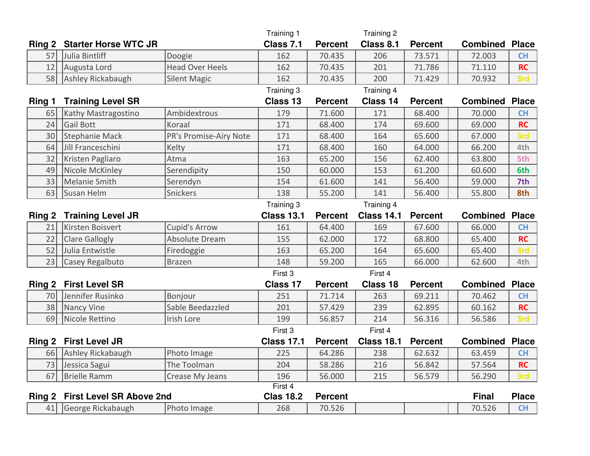|        |                                 |                        | Training 1        |                | Training 2        |                |                       |              |
|--------|---------------------------------|------------------------|-------------------|----------------|-------------------|----------------|-----------------------|--------------|
| Ring 2 | <b>Starter Horse WTC JR</b>     |                        | Class 7.1         | <b>Percent</b> | Class 8.1         | <b>Percent</b> | <b>Combined Place</b> |              |
| 57     | Julia Bintliff                  | Doogie                 | 162               | 70.435         | 206               | 73.571         | 72.003                | <b>CH</b>    |
| 12     | Augusta Lord                    | <b>Head Over Heels</b> | 162               | 70.435         | 201               | 71.786         | 71.110                | <b>RC</b>    |
| 58     | Ashley Rickabaugh               | <b>Silent Magic</b>    | 162               | 70.435         | 200               | 71.429         | 70.932                | 3rd          |
|        |                                 |                        | Training 3        |                | Training 4        |                |                       |              |
| Ring 1 | <b>Training Level SR</b>        |                        | Class 13          | <b>Percent</b> | Class 14          | <b>Percent</b> | <b>Combined</b>       | <b>Place</b> |
| 65     | Kathy Mastragostino             | Ambidextrous           | 179               | 71.600         | 171               | 68.400         | 70.000                | <b>CH</b>    |
| 24     | Gail Bott                       | Koraal                 | 171               | 68.400         | 174               | 69.600         | 69.000                | <b>RC</b>    |
| 30     | Stephanie Mack                  | PR's Promise-Airy Note | 171               | 68.400         | 164               | 65.600         | 67.000                | 3rd          |
| 64     | Jill Franceschini               | Kelty                  | 171               | 68.400         | 160               | 64.000         | 66.200                | 4th          |
| 32     | Kristen Pagliaro                | Atma                   | 163               | 65.200         | 156               | 62.400         | 63.800                | 5th          |
| 49     | Nicole McKinley                 | Serendipity            | 150               | 60.000         | 153               | 61.200         | 60.600                | 6th          |
| 33     | Melanie Smith                   | Serendyn               | 154               | 61.600         | 141               | 56.400         | 59.000                | 7th          |
| 63     | Susan Helm                      | Snickers               | 138               | 55.200         | 141               | 56.400         | 55.800                | 8th          |
|        |                                 |                        | Training 3        |                | Training 4        |                |                       |              |
| Ring 2 | <b>Training Level JR</b>        |                        | <b>Class 13.1</b> | <b>Percent</b> | <b>Class 14.1</b> | <b>Percent</b> | <b>Combined</b>       | <b>Place</b> |
| 21     | Kirsten Boisvert                | <b>Cupid's Arrow</b>   | 161               | 64.400         | 169               | 67.600         | 66.000                | <b>CH</b>    |
| 22     | <b>Clare Gallogly</b>           | Absolute Dream         | 155               | 62.000         | 172               | 68.800         | 65.400                | <b>RC</b>    |
| 52     | Julia Entwistle                 | Firedoggie             | 163               | 65.200         | 164               | 65.600         | 65.400                | 3rd          |
| 23     | <b>Casey Regalbuto</b>          | <b>Brazen</b>          | 148               | 59.200         | 165               | 66.000         | 62.600                | 4th          |
|        |                                 |                        | First 3           |                | First 4           |                |                       |              |
| Ring 2 | <b>First Level SR</b>           |                        | Class 17          | <b>Percent</b> | Class 18          | <b>Percent</b> | <b>Combined</b>       | <b>Place</b> |
| 70     | Jennifer Rusinko                | Bonjour                | 251               | 71.714         | 263               | 69.211         | 70.462                | <b>CH</b>    |
| 38     | Nancy Vine                      | Sable Beedazzled       | 201               | 57.429         | 239               | 62.895         | 60.162                | <b>RC</b>    |
| 69     | Nicole Rettino                  | Irish Lore             | 199               | 56.857         | 214               | 56.316         | 56.586                | 3rd          |
|        |                                 |                        | First 3           |                | First 4           |                |                       |              |
| Ring 2 | <b>First Level JR</b>           |                        | <b>Class 17.1</b> | <b>Percent</b> | <b>Class 18.1</b> | <b>Percent</b> | <b>Combined Place</b> |              |
| 66     | Ashley Rickabaugh               | Photo Image            | 225               | 64.286         | 238               | 62.632         | 63.459                | <b>CH</b>    |
| 73     | Jessica Sagui                   | The Toolman            | 204               | 58.286         | 216               | 56.842         | 57.564                | <b>RC</b>    |
| 67     | <b>Brielle Ramm</b>             | Crease My Jeans        | 196               | 56.000         | 215               | 56.579         | 56.290                | 3rd          |
|        |                                 |                        | First 4           |                |                   |                |                       |              |
|        | Ring 2 First Level SR Above 2nd |                        | <b>Clas 18.2</b>  | <b>Percent</b> |                   |                | <b>Final</b>          | <b>Place</b> |
| 41     | George Rickabaugh               | Photo Image            | 268               | 70.526         |                   |                | 70.526                | <b>CH</b>    |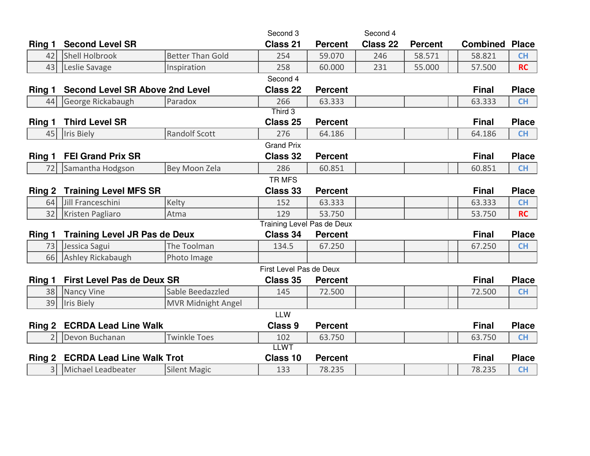|        |                                        |                           | Second 3                |                | Second 4 |                |                       |              |  |
|--------|----------------------------------------|---------------------------|-------------------------|----------------|----------|----------------|-----------------------|--------------|--|
| Ring 1 | <b>Second Level SR</b>                 |                           | Class 21                | <b>Percent</b> | Class 22 | <b>Percent</b> | <b>Combined Place</b> |              |  |
| 42     | Shell Holbrook                         | <b>Better Than Gold</b>   | 254                     | 59.070         | 246      | 58.571         | 58.821                | <b>CH</b>    |  |
| 43     | Leslie Savage                          | Inspiration               | 258                     | 60.000         | 231      | 55.000         | 57.500                | <b>RC</b>    |  |
|        |                                        |                           | Second 4                |                |          |                |                       |              |  |
| Ring 1 | <b>Second Level SR Above 2nd Level</b> |                           | <b>Class 22</b>         | <b>Percent</b> |          |                | <b>Final</b>          | <b>Place</b> |  |
| 44     | George Rickabaugh                      | Paradox                   | 266                     | 63.333         |          |                | 63.333                | CH           |  |
|        |                                        |                           | $Third$ 3               |                |          |                |                       |              |  |
| Ring 1 | <b>Third Level SR</b>                  |                           | Class 25                | <b>Percent</b> |          |                | <b>Final</b>          | <b>Place</b> |  |
| 45     | Iris Biely                             | <b>Randolf Scott</b>      | 276                     | 64.186         |          |                | 64.186                | <b>CH</b>    |  |
|        |                                        |                           | <b>Grand Prix</b>       |                |          |                |                       |              |  |
| Ring 1 | <b>FEI Grand Prix SR</b>               |                           | <b>Class 32</b>         | <b>Percent</b> |          |                | <b>Final</b>          | <b>Place</b> |  |
| 72     | Samantha Hodgson                       | Bey Moon Zela             | 286                     | 60.851         |          |                | 60.851                | <b>CH</b>    |  |
|        |                                        |                           | TR MFS                  |                |          |                |                       |              |  |
| Ring 2 | <b>Training Level MFS SR</b>           |                           | <b>Class 33</b>         | <b>Percent</b> |          |                | <b>Final</b>          | <b>Place</b> |  |
| 64     | Jill Franceschini                      | Kelty                     | 152                     | 63.333         |          |                | 63.333                | <b>CH</b>    |  |
| 32     | Kristen Pagliaro                       | Atma                      | 129                     | 53.750         |          |                | 53.750                | <b>RC</b>    |  |
|        | <b>Training Level Pas de Deux</b>      |                           |                         |                |          |                |                       |              |  |
| Ring 1 | <b>Training Level JR Pas de Deux</b>   |                           | Class 34                | <b>Percent</b> |          |                | <b>Final</b>          | <b>Place</b> |  |
| 73     | Jessica Sagui                          | The Toolman               | 134.5                   | 67.250         |          |                | 67.250                | <b>CH</b>    |  |
| 66     | Ashley Rickabaugh                      | Photo Image               |                         |                |          |                |                       |              |  |
|        |                                        |                           | First Level Pas de Deux |                |          |                |                       |              |  |
| Ring 1 | <b>First Level Pas de Deux SR</b>      |                           | <b>Class 35</b>         | <b>Percent</b> |          |                | <b>Final</b>          | <b>Place</b> |  |
| 38     | Nancy Vine                             | Sable Beedazzled          | 145                     | 72.500         |          |                | 72.500                | <b>CH</b>    |  |
| 39     | Iris Biely                             | <b>MVR Midnight Angel</b> |                         |                |          |                |                       |              |  |
|        |                                        |                           | <b>LLW</b>              |                |          |                |                       |              |  |
|        | Ring 2 ECRDA Lead Line Walk            |                           | <b>Class 9</b>          | <b>Percent</b> |          |                | <b>Final</b>          | <b>Place</b> |  |
| 21     | Devon Buchanan                         | <b>Twinkle Toes</b>       | 102                     | 63.750         |          |                | 63.750                | <b>CH</b>    |  |
|        |                                        |                           | <b>LLWT</b>             |                |          |                |                       |              |  |
|        | Ring 2 ECRDA Lead Line Walk Trot       |                           | Class 10                | <b>Percent</b> |          |                | <b>Final</b>          | <b>Place</b> |  |
| 3 l    | Michael Leadbeater                     | <b>Silent Magic</b>       | 133                     | 78.235         |          |                | 78.235                | <b>CH</b>    |  |